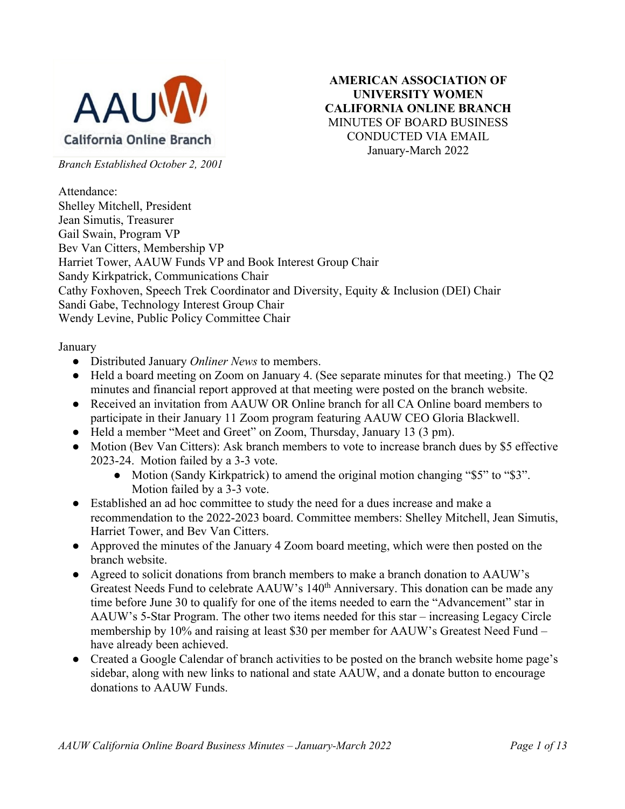

**AMERICAN ASSOCIATION OF UNIVERSITY WOMEN CALIFORNIA ONLINE BRANCH** MINUTES OF BOARD BUSINESS CONDUCTED VIA EMAIL January-March 2022

*Branch Established October 2, 2001*

Attendance: Shelley Mitchell, President Jean Simutis, Treasurer Gail Swain, Program VP Bev Van Citters, Membership VP Harriet Tower, AAUW Funds VP and Book Interest Group Chair Sandy Kirkpatrick, Communications Chair Cathy Foxhoven, Speech Trek Coordinator and Diversity, Equity & Inclusion (DEI) Chair Sandi Gabe, Technology Interest Group Chair Wendy Levine, Public Policy Committee Chair

January

- Distributed January *Onliner News* to members.
- Held a board meeting on Zoom on January 4. (See separate minutes for that meeting.) The Q2 minutes and financial report approved at that meeting were posted on the branch website.
- Received an invitation from AAUW OR Online branch for all CA Online board members to participate in their January 11 Zoom program featuring AAUW CEO Gloria Blackwell.
- Held a member "Meet and Greet" on Zoom, Thursday, January 13 (3 pm).
- Motion (Bev Van Citters): Ask branch members to vote to increase branch dues by \$5 effective 2023-24. Motion failed by a 3-3 vote.
	- Motion (Sandy Kirkpatrick) to amend the original motion changing "\$5" to "\$3". Motion failed by a 3-3 vote.
- Established an ad hoc committee to study the need for a dues increase and make a recommendation to the 2022-2023 board. Committee members: Shelley Mitchell, Jean Simutis, Harriet Tower, and Bev Van Citters.
- Approved the minutes of the January 4 Zoom board meeting, which were then posted on the branch website.
- Agreed to solicit donations from branch members to make a branch donation to AAUW's Greatest Needs Fund to celebrate AAUW's 140<sup>th</sup> Anniversary. This donation can be made any time before June 30 to qualify for one of the items needed to earn the "Advancement" star in AAUW's 5-Star Program. The other two items needed for this star – increasing Legacy Circle membership by 10% and raising at least \$30 per member for AAUW's Greatest Need Fund – have already been achieved.
- Created a Google Calendar of branch activities to be posted on the branch website home page's sidebar, along with new links to national and state AAUW, and a donate button to encourage donations to AAUW Funds.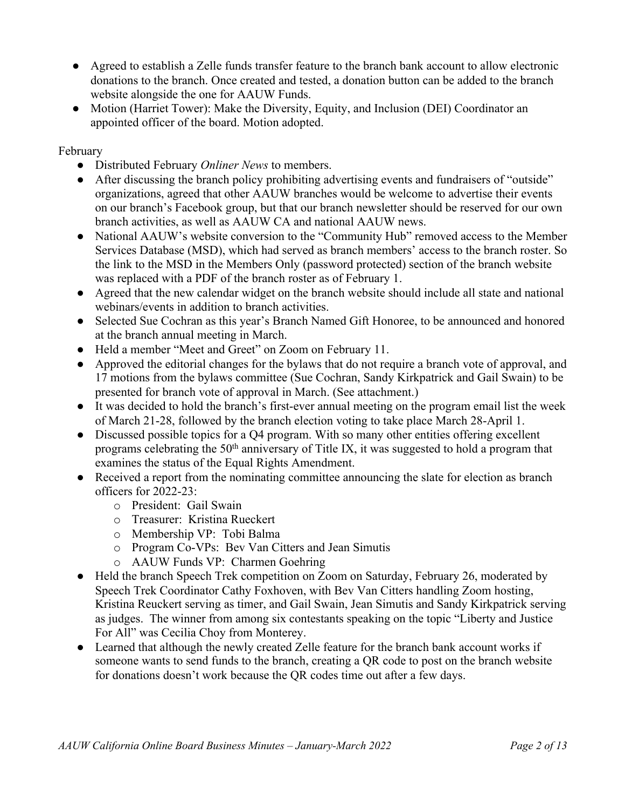- Agreed to establish a Zelle funds transfer feature to the branch bank account to allow electronic donations to the branch. Once created and tested, a donation button can be added to the branch website alongside the one for AAUW Funds.
- Motion (Harriet Tower): Make the Diversity, Equity, and Inclusion (DEI) Coordinator an appointed officer of the board. Motion adopted.

#### February

- Distributed February *Onliner News* to members.
- After discussing the branch policy prohibiting advertising events and fundraisers of "outside" organizations, agreed that other AAUW branches would be welcome to advertise their events on our branch's Facebook group, but that our branch newsletter should be reserved for our own branch activities, as well as AAUW CA and national AAUW news.
- National AAUW's website conversion to the "Community Hub" removed access to the Member Services Database (MSD), which had served as branch members' access to the branch roster. So the link to the MSD in the Members Only (password protected) section of the branch website was replaced with a PDF of the branch roster as of February 1.
- Agreed that the new calendar widget on the branch website should include all state and national webinars/events in addition to branch activities.
- Selected Sue Cochran as this year's Branch Named Gift Honoree, to be announced and honored at the branch annual meeting in March.
- Held a member "Meet and Greet" on Zoom on February 11.
- Approved the editorial changes for the bylaws that do not require a branch vote of approval, and 17 motions from the bylaws committee (Sue Cochran, Sandy Kirkpatrick and Gail Swain) to be presented for branch vote of approval in March. (See attachment.)
- It was decided to hold the branch's first-ever annual meeting on the program email list the week of March 21-28, followed by the branch election voting to take place March 28-April 1.
- Discussed possible topics for a Q4 program. With so many other entities offering excellent programs celebrating the  $50<sup>th</sup>$  anniversary of Title IX, it was suggested to hold a program that examines the status of the Equal Rights Amendment.
- Received a report from the nominating committee announcing the slate for election as branch officers for 2022-23:
	- o President: Gail Swain
	- o Treasurer: Kristina Rueckert
	- o Membership VP: Tobi Balma
	- o Program Co-VPs: Bev Van Citters and Jean Simutis
	- o AAUW Funds VP: Charmen Goehring
- Held the branch Speech Trek competition on Zoom on Saturday, February 26, moderated by Speech Trek Coordinator Cathy Foxhoven, with Bev Van Citters handling Zoom hosting, Kristina Reuckert serving as timer, and Gail Swain, Jean Simutis and Sandy Kirkpatrick serving as judges. The winner from among six contestants speaking on the topic "Liberty and Justice For All" was Cecilia Choy from Monterey.
- Learned that although the newly created Zelle feature for the branch bank account works if someone wants to send funds to the branch, creating a QR code to post on the branch website for donations doesn't work because the QR codes time out after a few days.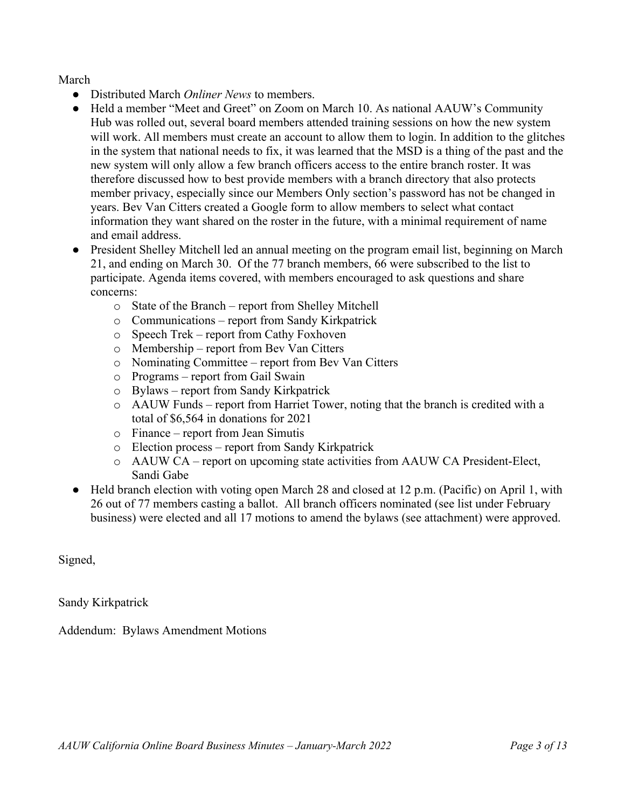March

- Distributed March *Onliner News* to members.
- Held a member "Meet and Greet" on Zoom on March 10. As national AAUW's Community Hub was rolled out, several board members attended training sessions on how the new system will work. All members must create an account to allow them to login. In addition to the glitches in the system that national needs to fix, it was learned that the MSD is a thing of the past and the new system will only allow a few branch officers access to the entire branch roster. It was therefore discussed how to best provide members with a branch directory that also protects member privacy, especially since our Members Only section's password has not be changed in years. Bev Van Citters created a Google form to allow members to select what contact information they want shared on the roster in the future, with a minimal requirement of name and email address.
- President Shelley Mitchell led an annual meeting on the program email list, beginning on March 21, and ending on March 30. Of the 77 branch members, 66 were subscribed to the list to participate. Agenda items covered, with members encouraged to ask questions and share concerns:
	- o State of the Branch report from Shelley Mitchell
	- o Communications report from Sandy Kirkpatrick
	- o Speech Trek report from Cathy Foxhoven
	- o Membership report from Bev Van Citters
	- o Nominating Committee report from Bev Van Citters
	- o Programs report from Gail Swain
	- o Bylaws report from Sandy Kirkpatrick
	- o AAUW Funds report from Harriet Tower, noting that the branch is credited with a total of \$6,564 in donations for 2021
	- o Finance report from Jean Simutis
	- o Election process report from Sandy Kirkpatrick
	- o AAUW CA report on upcoming state activities from AAUW CA President-Elect, Sandi Gabe
- Held branch election with voting open March 28 and closed at 12 p.m. (Pacific) on April 1, with 26 out of 77 members casting a ballot. All branch officers nominated (see list under February business) were elected and all 17 motions to amend the bylaws (see attachment) were approved.

Signed,

Sandy Kirkpatrick

Addendum: Bylaws Amendment Motions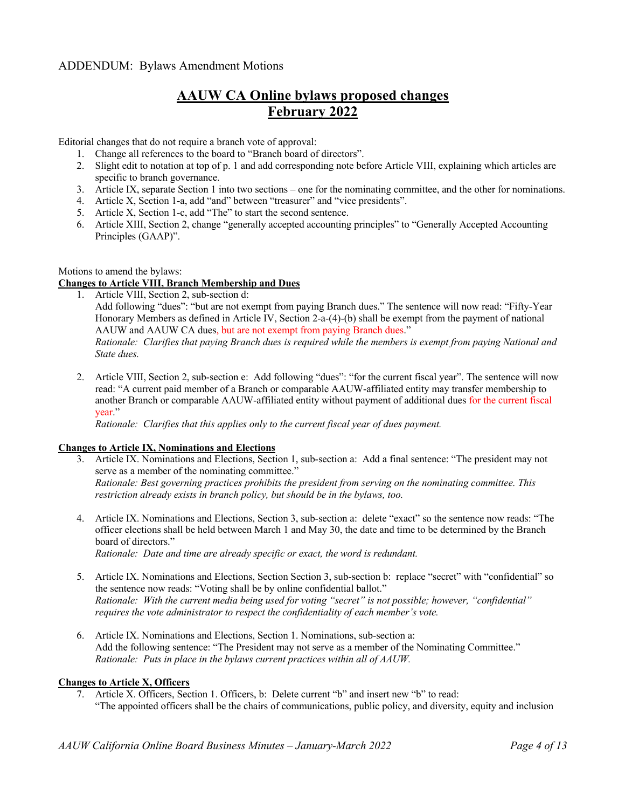# **AAUW CA Online bylaws proposed changes February 2022**

Editorial changes that do not require a branch vote of approval:

- 1. Change all references to the board to "Branch board of directors".
- 2. Slight edit to notation at top of p. 1 and add corresponding note before Article VIII, explaining which articles are specific to branch governance.
- 3. Article IX, separate Section 1 into two sections one for the nominating committee, and the other for nominations.
- 4. Article X, Section 1-a, add "and" between "treasurer" and "vice presidents".
- 5. Article X, Section 1-c, add "The" to start the second sentence.
- 6. Article XIII, Section 2, change "generally accepted accounting principles" to "Generally Accepted Accounting Principles (GAAP)".

#### Motions to amend the bylaws:

#### **Changes to Article VIII, Branch Membership and Dues**

1. Article VIII, Section 2, sub-section d:

Add following "dues": "but are not exempt from paying Branch dues." The sentence will now read: "Fifty-Year Honorary Members as defined in Article IV, Section 2-a-(4)-(b) shall be exempt from the payment of national AAUW and AAUW CA dues, but are not exempt from paying Branch dues."

*Rationale: Clarifies that paying Branch dues is required while the members is exempt from paying National and State dues.*

2. Article VIII, Section 2, sub-section e: Add following "dues": "for the current fiscal year". The sentence will now read: "A current paid member of a Branch or comparable AAUW-affiliated entity may transfer membership to another Branch or comparable AAUW-affiliated entity without payment of additional dues for the current fiscal year."

*Rationale: Clarifies that this applies only to the current fiscal year of dues payment.*

#### **Changes to Article IX, Nominations and Elections**

- 3. Article IX. Nominations and Elections, Section 1, sub-section a: Add a final sentence: "The president may not serve as a member of the nominating committee." *Rationale: Best governing practices prohibits the president from serving on the nominating committee. This restriction already exists in branch policy, but should be in the bylaws, too.*
- 4. Article IX. Nominations and Elections, Section 3, sub-section a: delete "exact" so the sentence now reads: "The officer elections shall be held between March 1 and May 30, the date and time to be determined by the Branch board of directors." *Rationale: Date and time are already specific or exact, the word is redundant.*

- 5. Article IX. Nominations and Elections, Section Section 3, sub-section b: replace "secret" with "confidential" so the sentence now reads: "Voting shall be by online confidential ballot." *Rationale: With the current media being used for voting "secret" is not possible; however, "confidential" requires the vote administrator to respect the confidentiality of each member's vote.*
- 6. Article IX. Nominations and Elections, Section 1. Nominations, sub-section a: Add the following sentence: "The President may not serve as a member of the Nominating Committee." *Rationale: Puts in place in the bylaws current practices within all of AAUW.*

#### **Changes to Article X, Officers**

7. Article X. Officers, Section 1. Officers, b: Delete current "b" and insert new "b" to read: "The appointed officers shall be the chairs of communications, public policy, and diversity, equity and inclusion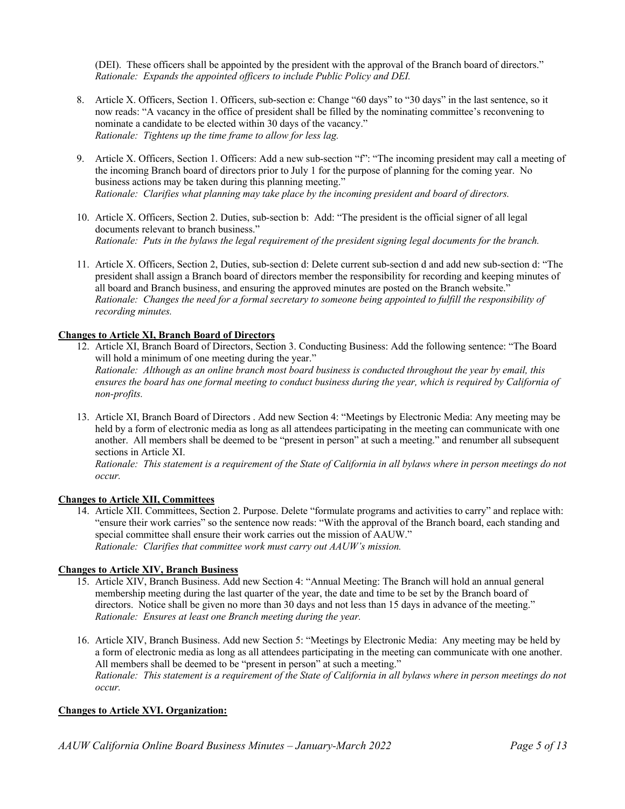(DEI). These officers shall be appointed by the president with the approval of the Branch board of directors." *Rationale: Expands the appointed officers to include Public Policy and DEI.*

- 8. Article X. Officers, Section 1. Officers, sub-section e: Change "60 days" to "30 days" in the last sentence, so it now reads: "A vacancy in the office of president shall be filled by the nominating committee's reconvening to nominate a candidate to be elected within 30 days of the vacancy." *Rationale: Tightens up the time frame to allow for less lag.*
- 9. Article X. Officers, Section 1. Officers: Add a new sub-section "f": "The incoming president may call a meeting of the incoming Branch board of directors prior to July 1 for the purpose of planning for the coming year. No business actions may be taken during this planning meeting." *Rationale: Clarifies what planning may take place by the incoming president and board of directors.*
- 10. Article X. Officers, Section 2. Duties, sub-section b: Add: "The president is the official signer of all legal documents relevant to branch business." *Rationale: Puts in the bylaws the legal requirement of the president signing legal documents for the branch.*
- 11. Article X. Officers, Section 2, Duties, sub-section d: Delete current sub-section d and add new sub-section d: "The president shall assign a Branch board of directors member the responsibility for recording and keeping minutes of all board and Branch business, and ensuring the approved minutes are posted on the Branch website." *Rationale: Changes the need for a formal secretary to someone being appointed to fulfill the responsibility of recording minutes.*

#### **Changes to Article XI, Branch Board of Directors**

- 12. Article XI, Branch Board of Directors, Section 3. Conducting Business: Add the following sentence: "The Board will hold a minimum of one meeting during the year." *Rationale: Although as an online branch most board business is conducted throughout the year by email, this ensures the board has one formal meeting to conduct business during the year, which is required by California of non-profits.*
- 13. Article XI, Branch Board of Directors . Add new Section 4: "Meetings by Electronic Media: Any meeting may be held by a form of electronic media as long as all attendees participating in the meeting can communicate with one another. All members shall be deemed to be "present in person" at such a meeting." and renumber all subsequent sections in Article XI.

*Rationale: This statement is a requirement of the State of California in all bylaws where in person meetings do not occur.*

#### **Changes to Article XII, Committees**

14. Article XII. Committees, Section 2. Purpose. Delete "formulate programs and activities to carry" and replace with: "ensure their work carries" so the sentence now reads: "With the approval of the Branch board, each standing and special committee shall ensure their work carries out the mission of AAUW." *Rationale: Clarifies that committee work must carry out AAUW's mission.*

#### **Changes to Article XIV, Branch Business**

- 15. Article XIV, Branch Business. Add new Section 4: "Annual Meeting: The Branch will hold an annual general membership meeting during the last quarter of the year, the date and time to be set by the Branch board of directors. Notice shall be given no more than 30 days and not less than 15 days in advance of the meeting." *Rationale: Ensures at least one Branch meeting during the year.*
- 16. Article XIV, Branch Business. Add new Section 5: "Meetings by Electronic Media: Any meeting may be held by a form of electronic media as long as all attendees participating in the meeting can communicate with one another. All members shall be deemed to be "present in person" at such a meeting." *Rationale: This statement is a requirement of the State of California in all bylaws where in person meetings do not occur.*

#### **Changes to Article XVI. Organization:**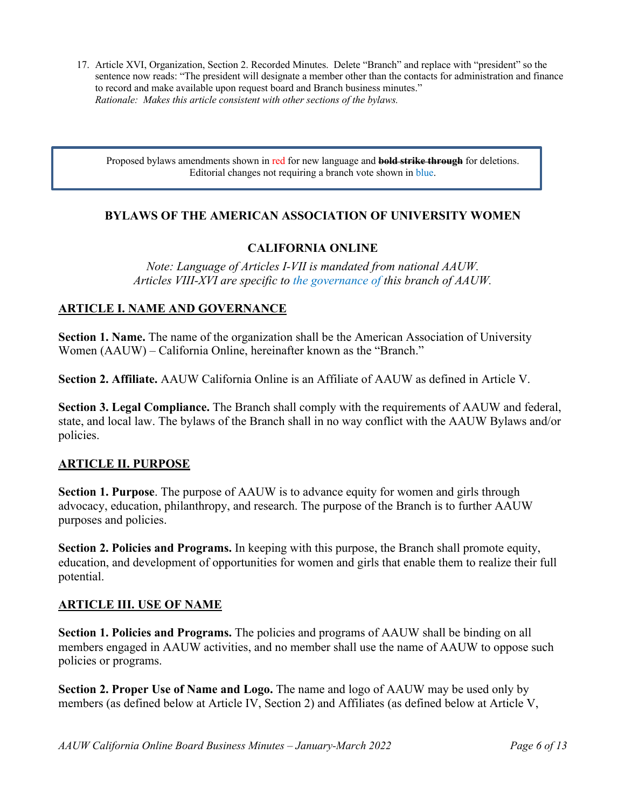17. Article XVI, Organization, Section 2. Recorded Minutes. Delete "Branch" and replace with "president" so the sentence now reads: "The president will designate a member other than the contacts for administration and finance to record and make available upon request board and Branch business minutes." *Rationale: Makes this article consistent with other sections of the bylaws.*

Proposed bylaws amendments shown in red for new language and **bold strike through** for deletions. Editorial changes not requiring a branch vote shown in blue.

#### **BYLAWS OF THE AMERICAN ASSOCIATION OF UNIVERSITY WOMEN**

## **CALIFORNIA ONLINE**

*Note: Language of Articles I-VII is mandated from national AAUW. Articles VIII-XVI are specific to the governance of this branch of AAUW.*

#### **ARTICLE I. NAME AND GOVERNANCE**

**Section 1. Name.** The name of the organization shall be the American Association of University Women (AAUW) – California Online, hereinafter known as the "Branch."

**Section 2. Affiliate.** AAUW California Online is an Affiliate of AAUW as defined in Article V.

**Section 3. Legal Compliance.** The Branch shall comply with the requirements of AAUW and federal, state, and local law. The bylaws of the Branch shall in no way conflict with the AAUW Bylaws and/or policies.

#### **ARTICLE II. PURPOSE**

**Section 1. Purpose**. The purpose of AAUW is to advance equity for women and girls through advocacy, education, philanthropy, and research. The purpose of the Branch is to further AAUW purposes and policies.

**Section 2. Policies and Programs.** In keeping with this purpose, the Branch shall promote equity, education, and development of opportunities for women and girls that enable them to realize their full potential.

#### **ARTICLE III. USE OF NAME**

**Section 1. Policies and Programs.** The policies and programs of AAUW shall be binding on all members engaged in AAUW activities, and no member shall use the name of AAUW to oppose such policies or programs.

**Section 2. Proper Use of Name and Logo.** The name and logo of AAUW may be used only by members (as defined below at Article IV, Section 2) and Affiliates (as defined below at Article V,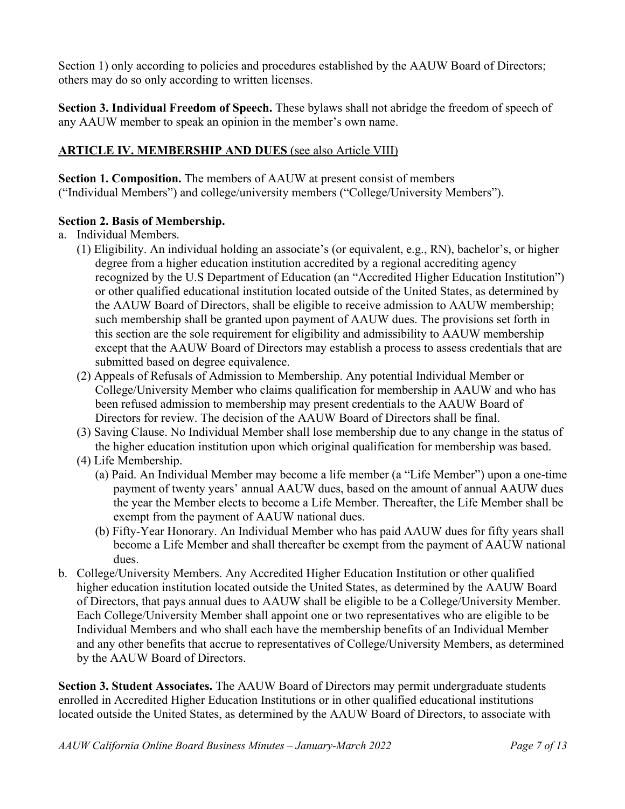Section 1) only according to policies and procedures established by the AAUW Board of Directors; others may do so only according to written licenses.

**Section 3. Individual Freedom of Speech.** These bylaws shall not abridge the freedom of speech of any AAUW member to speak an opinion in the member's own name.

# **ARTICLE IV. MEMBERSHIP AND DUES** (see also Article VIII)

**Section 1. Composition.** The members of AAUW at present consist of members ("Individual Members") and college/university members ("College/University Members").

## **Section 2. Basis of Membership.**

a. Individual Members.

- (1) Eligibility. An individual holding an associate's (or equivalent, e.g., RN), bachelor's, or higher degree from a higher education institution accredited by a regional accrediting agency recognized by the U.S Department of Education (an "Accredited Higher Education Institution") or other qualified educational institution located outside of the United States, as determined by the AAUW Board of Directors, shall be eligible to receive admission to AAUW membership; such membership shall be granted upon payment of AAUW dues. The provisions set forth in this section are the sole requirement for eligibility and admissibility to AAUW membership except that the AAUW Board of Directors may establish a process to assess credentials that are submitted based on degree equivalence.
- (2) Appeals of Refusals of Admission to Membership. Any potential Individual Member or College/University Member who claims qualification for membership in AAUW and who has been refused admission to membership may present credentials to the AAUW Board of Directors for review. The decision of the AAUW Board of Directors shall be final.
- (3) Saving Clause. No Individual Member shall lose membership due to any change in the status of the higher education institution upon which original qualification for membership was based.
- (4) Life Membership.
	- (a) Paid. An Individual Member may become a life member (a "Life Member") upon a one-time payment of twenty years' annual AAUW dues, based on the amount of annual AAUW dues the year the Member elects to become a Life Member. Thereafter, the Life Member shall be exempt from the payment of AAUW national dues.
	- (b) Fifty-Year Honorary. An Individual Member who has paid AAUW dues for fifty years shall become a Life Member and shall thereafter be exempt from the payment of AAUW national dues.
- b. College/University Members. Any Accredited Higher Education Institution or other qualified higher education institution located outside the United States, as determined by the AAUW Board of Directors, that pays annual dues to AAUW shall be eligible to be a College/University Member. Each College/University Member shall appoint one or two representatives who are eligible to be Individual Members and who shall each have the membership benefits of an Individual Member and any other benefits that accrue to representatives of College/University Members, as determined by the AAUW Board of Directors.

**Section 3. Student Associates.** The AAUW Board of Directors may permit undergraduate students enrolled in Accredited Higher Education Institutions or in other qualified educational institutions located outside the United States, as determined by the AAUW Board of Directors, to associate with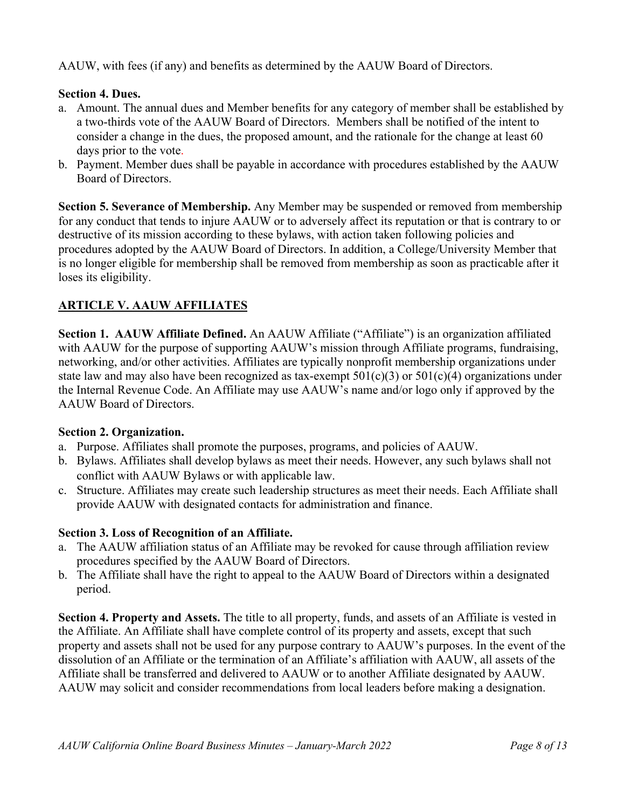AAUW, with fees (if any) and benefits as determined by the AAUW Board of Directors.

# **Section 4. Dues.**

- a. Amount. The annual dues and Member benefits for any category of member shall be established by a two-thirds vote of the AAUW Board of Directors. Members shall be notified of the intent to consider a change in the dues, the proposed amount, and the rationale for the change at least 60 days prior to the vote.
- b. Payment. Member dues shall be payable in accordance with procedures established by the AAUW Board of Directors.

**Section 5. Severance of Membership.** Any Member may be suspended or removed from membership for any conduct that tends to injure AAUW or to adversely affect its reputation or that is contrary to or destructive of its mission according to these bylaws, with action taken following policies and procedures adopted by the AAUW Board of Directors. In addition, a College/University Member that is no longer eligible for membership shall be removed from membership as soon as practicable after it loses its eligibility.

# **ARTICLE V. AAUW AFFILIATES**

**Section 1. AAUW Affiliate Defined.** An AAUW Affiliate ("Affiliate") is an organization affiliated with AAUW for the purpose of supporting AAUW's mission through Affiliate programs, fundraising, networking, and/or other activities. Affiliates are typically nonprofit membership organizations under state law and may also have been recognized as tax-exempt  $501(c)(3)$  or  $501(c)(4)$  organizations under the Internal Revenue Code. An Affiliate may use AAUW's name and/or logo only if approved by the AAUW Board of Directors.

## **Section 2. Organization.**

- a. Purpose. Affiliates shall promote the purposes, programs, and policies of AAUW.
- b. Bylaws. Affiliates shall develop bylaws as meet their needs. However, any such bylaws shall not conflict with AAUW Bylaws or with applicable law.
- c. Structure. Affiliates may create such leadership structures as meet their needs. Each Affiliate shall provide AAUW with designated contacts for administration and finance.

## **Section 3. Loss of Recognition of an Affiliate.**

- a. The AAUW affiliation status of an Affiliate may be revoked for cause through affiliation review procedures specified by the AAUW Board of Directors.
- b. The Affiliate shall have the right to appeal to the AAUW Board of Directors within a designated period.

**Section 4. Property and Assets.** The title to all property, funds, and assets of an Affiliate is vested in the Affiliate. An Affiliate shall have complete control of its property and assets, except that such property and assets shall not be used for any purpose contrary to AAUW's purposes. In the event of the dissolution of an Affiliate or the termination of an Affiliate's affiliation with AAUW, all assets of the Affiliate shall be transferred and delivered to AAUW or to another Affiliate designated by AAUW. AAUW may solicit and consider recommendations from local leaders before making a designation.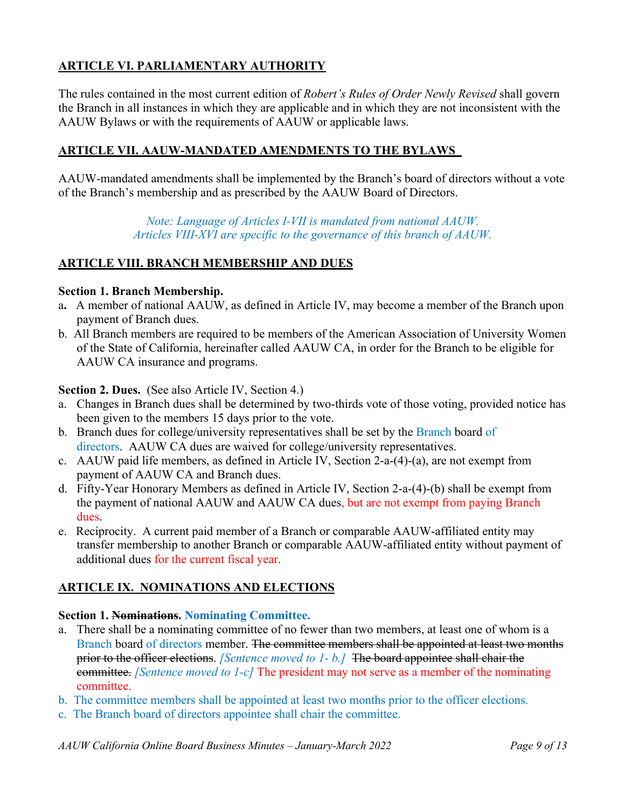# **ARTICLE VI. PARLIAMENTARY AUTHORITY**

The rules contained in the most current edition of *Robert's Rules of Order Newly Revised* shall govern the Branch in all instances in which they are applicable and in which they are not inconsistent with the AAUW Bylaws or with the requirements of AAUW or applicable laws.

## **ARTICLE VII. AAUW-MANDATED AMENDMENTS TO THE BYLAWS**

AAUW-mandated amendments shall be implemented by the Branch's board of directors without a vote of the Branch's membership and as prescribed by the AAUW Board of Directors.

> *Note: Language of Articles I-VII is mandated from national AAUW. Articles VIII-XVI are specific to the governance of this branch of AAUW.*

#### **ARTICLE VIII. BRANCH MEMBERSHIP AND DUES**

#### **Section 1. Branch Membership.**

- a**.** A member of national AAUW, as defined in Article IV, may become a member of the Branch upon payment of Branch dues.
- b. All Branch members are required to be members of the American Association of University Women of the State of California, hereinafter called AAUW CA, in order for the Branch to be eligible for AAUW CA insurance and programs.

#### **Section 2. Dues.** (See also Article IV, Section 4.)

- a. Changes in Branch dues shall be determined by two-thirds vote of those voting, provided notice has been given to the members 15 days prior to the vote.
- b. Branch dues for college/university representatives shall be set by the Branch board of directors. AAUW CA dues are waived for college/university representatives.
- c. AAUW paid life members, as defined in Article IV, Section 2-a-(4)-(a), are not exempt from payment of AAUW CA and Branch dues.
- d. Fifty-Year Honorary Members as defined in Article IV, Section 2-a-(4)-(b) shall be exempt from the payment of national AAUW and AAUW CA dues, but are not exempt from paying Branch dues.
- e. Reciprocity. A current paid member of a Branch or comparable AAUW-affiliated entity may transfer membership to another Branch or comparable AAUW-affiliated entity without payment of additional dues for the current fiscal year.

## **ARTICLE IX. NOMINATIONS AND ELECTIONS**

## **Section 1. Nominations. Nominating Committee.**

- a. There shall be a nominating committee of no fewer than two members, at least one of whom is a Branch board of directors member. The committee members shall be appointed at least two months prior to the officer elections. *[Sentence moved to 1- b.]* The board appointee shall chair the committee. *[Sentence moved to 1-c]* The president may not serve as a member of the nominating committee.
- b. The committee members shall be appointed at least two months prior to the officer elections.
- c. The Branch board of directors appointee shall chair the committee.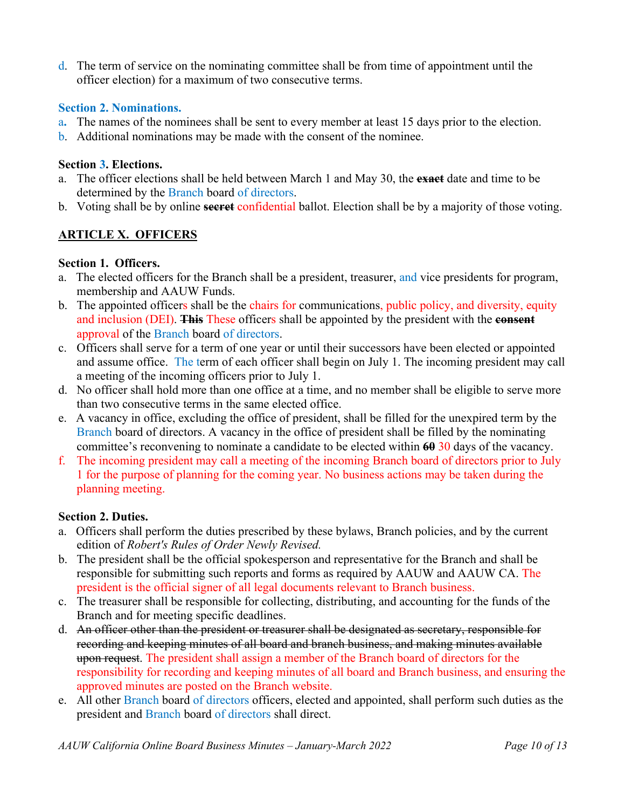d. The term of service on the nominating committee shall be from time of appointment until the officer election) for a maximum of two consecutive terms.

#### **Section 2. Nominations.**

- a**.** The names of the nominees shall be sent to every member at least 15 days prior to the election.
- b. Additional nominations may be made with the consent of the nominee.

#### **Section 3. Elections.**

- a. The officer elections shall be held between March 1 and May 30, the **exact** date and time to be determined by the Branch board of directors.
- b. Voting shall be by online **secret** confidential ballot. Election shall be by a majority of those voting.

# **ARTICLE X. OFFICERS**

#### **Section 1. Officers.**

- a. The elected officers for the Branch shall be a president, treasurer, and vice presidents for program, membership and AAUW Funds.
- b. The appointed officers shall be the chairs for communications, public policy, and diversity, equity and inclusion (DEI). **This** These officers shall be appointed by the president with the **consent** approval of the Branch board of directors.
- c. Officers shall serve for a term of one year or until their successors have been elected or appointed and assume office. The term of each officer shall begin on July 1. The incoming president may call a meeting of the incoming officers prior to July 1.
- d. No officer shall hold more than one office at a time, and no member shall be eligible to serve more than two consecutive terms in the same elected office.
- e. A vacancy in office, excluding the office of president, shall be filled for the unexpired term by the Branch board of directors. A vacancy in the office of president shall be filled by the nominating committee's reconvening to nominate a candidate to be elected within **60** 30 days of the vacancy.
- f. The incoming president may call a meeting of the incoming Branch board of directors prior to July 1 for the purpose of planning for the coming year. No business actions may be taken during the planning meeting.

## **Section 2. Duties.**

- a. Officers shall perform the duties prescribed by these bylaws, Branch policies, and by the current edition of *Robert's Rules of Order Newly Revised.*
- b. The president shall be the official spokesperson and representative for the Branch and shall be responsible for submitting such reports and forms as required by AAUW and AAUW CA. The president is the official signer of all legal documents relevant to Branch business.
- c. The treasurer shall be responsible for collecting, distributing, and accounting for the funds of the Branch and for meeting specific deadlines.
- d. An officer other than the president or treasurer shall be designated as secretary, responsible for recording and keeping minutes of all board and branch business, and making minutes available upon request. The president shall assign a member of the Branch board of directors for the responsibility for recording and keeping minutes of all board and Branch business, and ensuring the approved minutes are posted on the Branch website.
- e. All other Branch board of directors officers, elected and appointed, shall perform such duties as the president and Branch board of directors shall direct.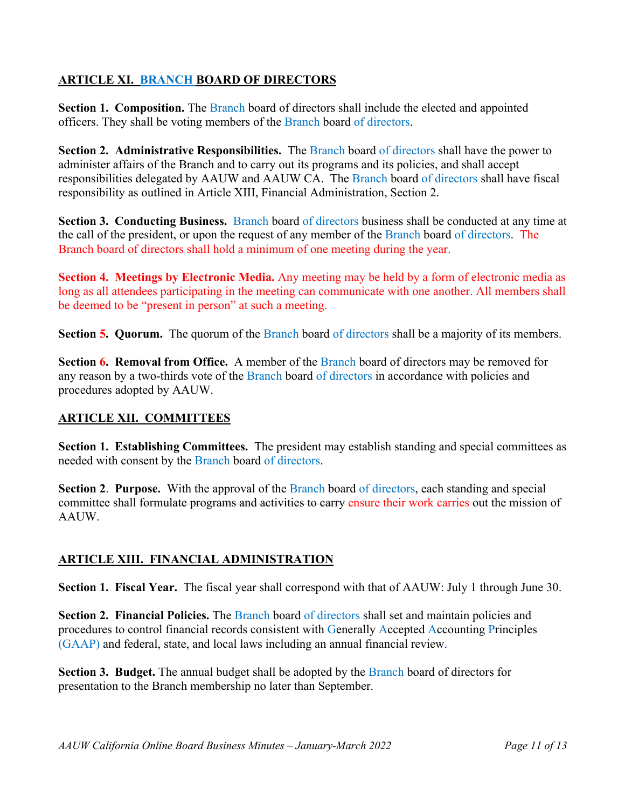# **ARTICLE XI. BRANCH BOARD OF DIRECTORS**

**Section 1. Composition.** The Branch board of directors shall include the elected and appointed officers. They shall be voting members of the Branch board of directors.

**Section 2. Administrative Responsibilities.** The Branch board of directors shall have the power to administer affairs of the Branch and to carry out its programs and its policies, and shall accept responsibilities delegated by AAUW and AAUW CA. The Branch board of directors shall have fiscal responsibility as outlined in Article XIII, Financial Administration, Section 2.

**Section 3. Conducting Business.** Branch board of directors business shall be conducted at any time at the call of the president, or upon the request of any member of the Branch board of directors. The Branch board of directors shall hold a minimum of one meeting during the year.

**Section 4. Meetings by Electronic Media.** Any meeting may be held by a form of electronic media as long as all attendees participating in the meeting can communicate with one another. All members shall be deemed to be "present in person" at such a meeting.

**Section 5. Quorum.** The quorum of the Branch board of directors shall be a majority of its members.

**Section 6. Removal from Office.** A member of the Branch board of directors may be removed for any reason by a two-thirds vote of the Branch board of directors in accordance with policies and procedures adopted by AAUW.

# **ARTICLE XII. COMMITTEES**

**Section 1. Establishing Committees.** The president may establish standing and special committees as needed with consent by the Branch board of directors.

**Section 2. Purpose.** With the approval of the Branch board of directors, each standing and special committee shall formulate programs and activities to carry ensure their work carries out the mission of AAUW.

# **ARTICLE XIII. FINANCIAL ADMINISTRATION**

**Section 1. Fiscal Year.** The fiscal year shall correspond with that of AAUW: July 1 through June 30.

**Section 2. Financial Policies.** The Branch board of directors shall set and maintain policies and procedures to control financial records consistent with Generally Accepted Accounting Principles (GAAP) and federal, state, and local laws including an annual financial review.

**Section 3. Budget.** The annual budget shall be adopted by the Branch board of directors for presentation to the Branch membership no later than September.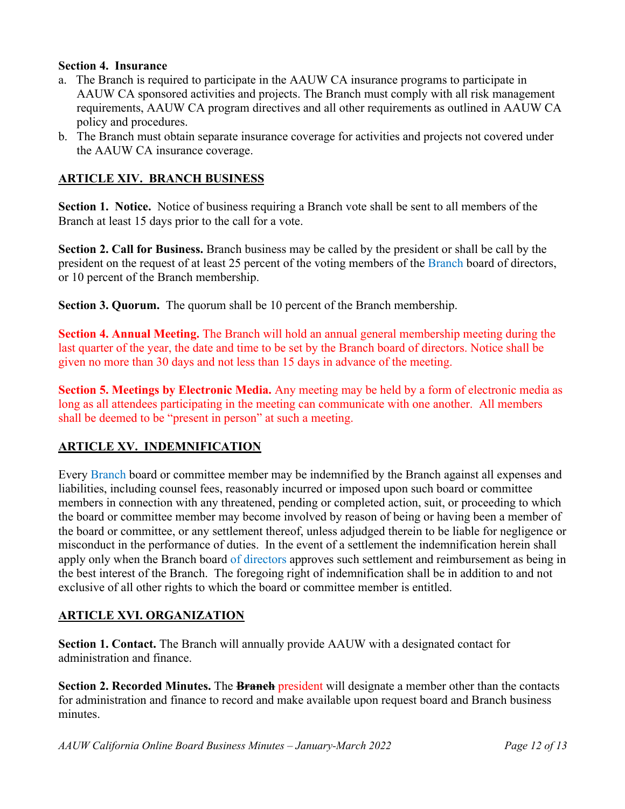#### **Section 4. Insurance**

- a. The Branch is required to participate in the AAUW CA insurance programs to participate in AAUW CA sponsored activities and projects. The Branch must comply with all risk management requirements, AAUW CA program directives and all other requirements as outlined in AAUW CA policy and procedures.
- b. The Branch must obtain separate insurance coverage for activities and projects not covered under the AAUW CA insurance coverage.

# **ARTICLE XIV. BRANCH BUSINESS**

**Section 1. Notice.** Notice of business requiring a Branch vote shall be sent to all members of the Branch at least 15 days prior to the call for a vote.

**Section 2. Call for Business.** Branch business may be called by the president or shall be call by the president on the request of at least 25 percent of the voting members of the Branch board of directors, or 10 percent of the Branch membership.

**Section 3. Quorum.** The quorum shall be 10 percent of the Branch membership.

**Section 4. Annual Meeting.** The Branch will hold an annual general membership meeting during the last quarter of the year, the date and time to be set by the Branch board of directors. Notice shall be given no more than 30 days and not less than 15 days in advance of the meeting.

**Section 5. Meetings by Electronic Media.** Any meeting may be held by a form of electronic media as long as all attendees participating in the meeting can communicate with one another. All members shall be deemed to be "present in person" at such a meeting.

# **ARTICLE XV. INDEMNIFICATION**

Every Branch board or committee member may be indemnified by the Branch against all expenses and liabilities, including counsel fees, reasonably incurred or imposed upon such board or committee members in connection with any threatened, pending or completed action, suit, or proceeding to which the board or committee member may become involved by reason of being or having been a member of the board or committee, or any settlement thereof, unless adjudged therein to be liable for negligence or misconduct in the performance of duties. In the event of a settlement the indemnification herein shall apply only when the Branch board of directors approves such settlement and reimbursement as being in the best interest of the Branch. The foregoing right of indemnification shall be in addition to and not exclusive of all other rights to which the board or committee member is entitled.

## **ARTICLE XVI. ORGANIZATION**

**Section 1. Contact.** The Branch will annually provide AAUW with a designated contact for administration and finance.

**Section 2. Recorded Minutes.** The **Branch** president will designate a member other than the contacts for administration and finance to record and make available upon request board and Branch business minutes.